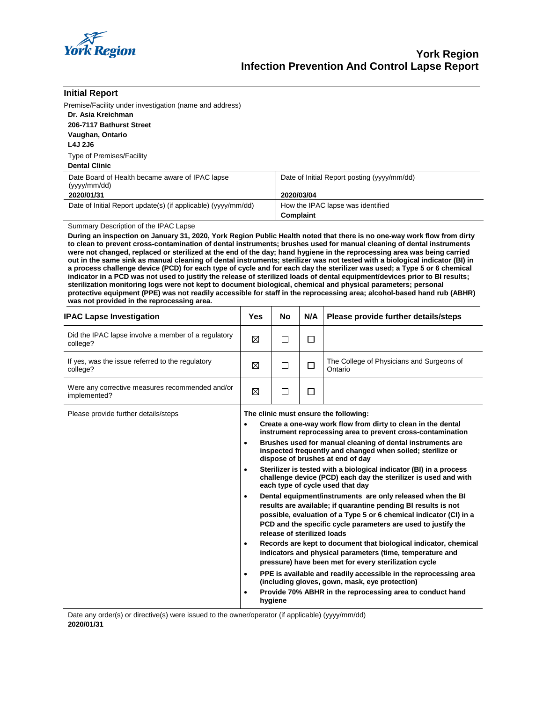

| <b>Initial Report</b>                                          |                                                                                                                                                                                                                                                  |  |  |
|----------------------------------------------------------------|--------------------------------------------------------------------------------------------------------------------------------------------------------------------------------------------------------------------------------------------------|--|--|
| Premise/Facility under investigation (name and address)        |                                                                                                                                                                                                                                                  |  |  |
| Dr. Asia Kreichman                                             |                                                                                                                                                                                                                                                  |  |  |
| 206-7117 Bathurst Street                                       |                                                                                                                                                                                                                                                  |  |  |
| Vaughan, Ontario                                               |                                                                                                                                                                                                                                                  |  |  |
| L4J 2J6                                                        |                                                                                                                                                                                                                                                  |  |  |
| <b>Type of Premises/Facility</b>                               |                                                                                                                                                                                                                                                  |  |  |
| <b>Dental Clinic</b>                                           |                                                                                                                                                                                                                                                  |  |  |
| Date Board of Health became aware of IPAC lapse<br>(yyy/mm/dd) | Date of Initial Report posting (yyyy/mm/dd)                                                                                                                                                                                                      |  |  |
| 2020/01/31                                                     | 2020/03/04                                                                                                                                                                                                                                       |  |  |
| Date of Initial Report update(s) (if applicable) (yyyy/mm/dd)  | How the IPAC lapse was identified                                                                                                                                                                                                                |  |  |
|                                                                | Complaint                                                                                                                                                                                                                                        |  |  |
| Summary Description of the IPAC Lapse                          |                                                                                                                                                                                                                                                  |  |  |
|                                                                | During an inspection on January 31, 2020, York Region Public Health noted that there is no one-way work flow from dirty<br>to clean to provent cross-contamination of dontal instruments: brushes used for manual cleaning of dontal instruments |  |  |

**to clean to prevent cross-contamination of dental instruments; brushes used for manual cleaning of dental instruments were not changed, replaced or sterilized at the end of the day; hand hygiene in the reprocessing area was being carried out in the same sink as manual cleaning of dental instruments; sterilizer was not tested with a biological indicator (BI) in a process challenge device (PCD) for each type of cycle and for each day the sterilizer was used; a Type 5 or 6 chemical indicator in a PCD was not used to justify the release of sterilized loads of dental equipment/devices prior to BI results; sterilization monitoring logs were not kept to document biological, chemical and physical parameters; personal protective equipment (PPE) was not readily accessible for staff in the reprocessing area; alcohol-based hand rub (ABHR) was not provided in the reprocessing area.** 

| <b>IPAC Lapse Investigation</b>                                 | Yes                                                                                                                                                                                                                                                                                                                                                                                                                                                                                                                                                                                                                                                                                                                                                                                                                                                                                                                                                                                                                                                                                                                                                                                                                                                                                             | No | N/A | Please provide further details/steps                 |
|-----------------------------------------------------------------|-------------------------------------------------------------------------------------------------------------------------------------------------------------------------------------------------------------------------------------------------------------------------------------------------------------------------------------------------------------------------------------------------------------------------------------------------------------------------------------------------------------------------------------------------------------------------------------------------------------------------------------------------------------------------------------------------------------------------------------------------------------------------------------------------------------------------------------------------------------------------------------------------------------------------------------------------------------------------------------------------------------------------------------------------------------------------------------------------------------------------------------------------------------------------------------------------------------------------------------------------------------------------------------------------|----|-----|------------------------------------------------------|
| Did the IPAC lapse involve a member of a regulatory<br>college? | ⊠                                                                                                                                                                                                                                                                                                                                                                                                                                                                                                                                                                                                                                                                                                                                                                                                                                                                                                                                                                                                                                                                                                                                                                                                                                                                                               | П  | □   |                                                      |
| If yes, was the issue referred to the regulatory<br>college?    | ⊠                                                                                                                                                                                                                                                                                                                                                                                                                                                                                                                                                                                                                                                                                                                                                                                                                                                                                                                                                                                                                                                                                                                                                                                                                                                                                               | □  | □   | The College of Physicians and Surgeons of<br>Ontario |
| Were any corrective measures recommended and/or<br>implemented? | ⊠                                                                                                                                                                                                                                                                                                                                                                                                                                                                                                                                                                                                                                                                                                                                                                                                                                                                                                                                                                                                                                                                                                                                                                                                                                                                                               | П  | П   |                                                      |
| Please provide further details/steps                            | The clinic must ensure the following:<br>Create a one-way work flow from dirty to clean in the dental<br>$\bullet$<br>instrument reprocessing area to prevent cross-contamination<br>Brushes used for manual cleaning of dental instruments are<br>$\bullet$<br>inspected frequently and changed when soiled; sterilize or<br>dispose of brushes at end of day<br>Sterilizer is tested with a biological indicator (BI) in a process<br>$\bullet$<br>challenge device (PCD) each day the sterilizer is used and with<br>each type of cycle used that day<br>Dental equipment/instruments are only released when the BI<br>$\bullet$<br>results are available; if quarantine pending BI results is not<br>possible, evaluation of a Type 5 or 6 chemical indicator (CI) in a<br>PCD and the specific cycle parameters are used to justify the<br>release of sterilized loads<br>Records are kept to document that biological indicator, chemical<br>$\bullet$<br>indicators and physical parameters (time, temperature and<br>pressure) have been met for every sterilization cycle<br>PPE is available and readily accessible in the reprocessing area<br>$\bullet$<br>(including gloves, gown, mask, eye protection)<br>Provide 70% ABHR in the reprocessing area to conduct hand<br>$\bullet$ |    |     |                                                      |

Date any order(s) or directive(s) were issued to the owner/operator (if applicable) (yyyy/mm/dd) **2020/01/31**